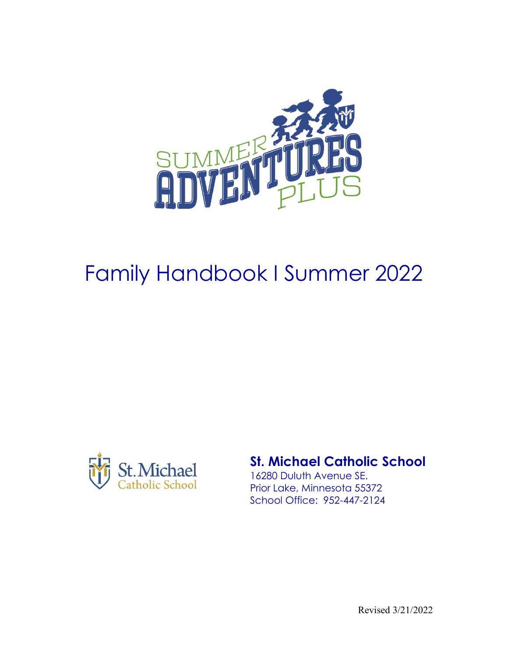

# Family Handbook I Summer 2022



# **St. Michael Catholic School**

16280 Duluth Avenue SE. Prior Lake, Minnesota 55372 School Office: 952-447-2124

Revised 3/21/2022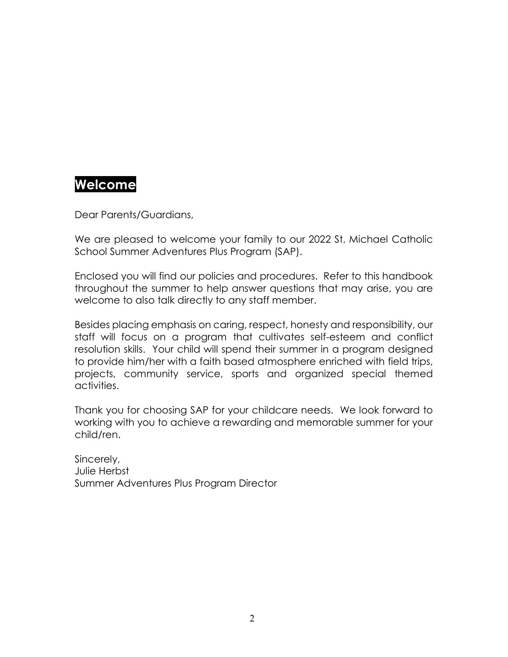# **Welcome**

Dear Parents/Guardians,

We are pleased to welcome your family to our 2022 St. Michael Catholic School Summer Adventures Plus Program (SAP).

Enclosed you will find our policies and procedures. Refer to this handbook throughout the summer to help answer questions that may arise, you are welcome to also talk directly to any staff member.

Besides placing emphasis on caring, respect, honesty and responsibility, our staff will focus on a program that cultivates self-esteem and conflict resolution skills. Your child will spend their summer in a program designed to provide him/her with a faith based atmosphere enriched with field trips, projects, community service, sports and organized special themed activities.

Thank you for choosing SAP for your childcare needs. We look forward to working with you to achieve a rewarding and memorable summer for your child/ren.

Sincerely, Julie Herbst Summer Adventures Plus Program Director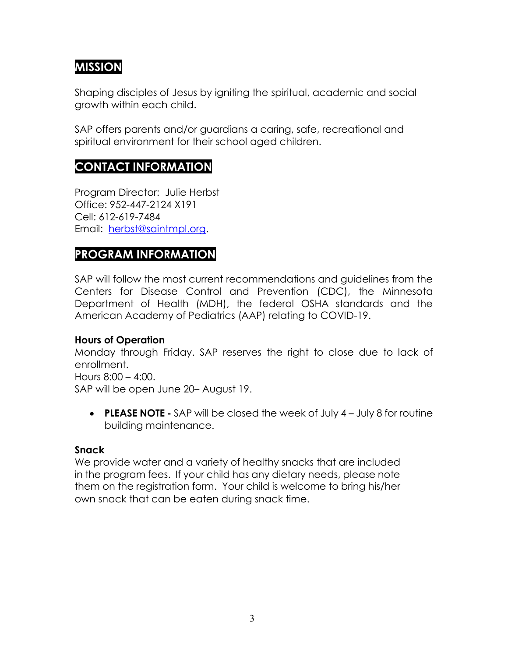# **MISSION**

Shaping disciples of Jesus by igniting the spiritual, academic and social growth within each child.

SAP offers parents and/or guardians a caring, safe, recreational and spiritual environment for their school aged children.

# **CONTACT INFORMATION**

Program Director: Julie Herbst Office: 952-447-2124 X191 Cell: 612-619-7484 Email: [herbst@saintmpl.org.](mailto:herbst@saintmpl.org)

# **PROGRAM INFORMATION**

SAP will follow the most current recommendations and guidelines from the Centers for Disease Control and Prevention (CDC), the Minnesota Department of Health (MDH), the federal OSHA standards and the American Academy of Pediatrics (AAP) relating to COVID-19.

## **Hours of Operation**

Monday through Friday. SAP reserves the right to close due to lack of enrollment.

Hours 8:00 – 4:00.

SAP will be open June 20– August 19.

• **PLEASE NOTE -** SAP will be closed the week of July 4 – July 8 for routine building maintenance.

## **Snack**

We provide water and a variety of healthy snacks that are included in the program fees. If your child has any dietary needs, please note them on the registration form. Your child is welcome to bring his/her own snack that can be eaten during snack time.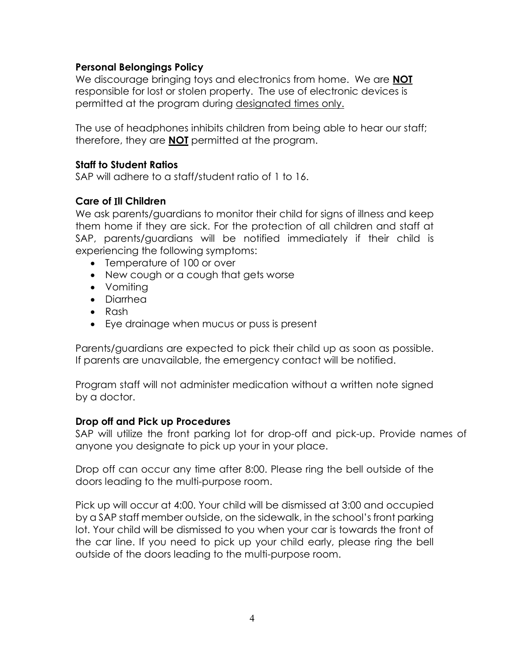# **Personal Belongings Policy**

We discourage bringing toys and electronics from home. We are **NOT** responsible for lost or stolen property. The use of electronic devices is permitted at the program during designated times only.

The use of headphones inhibits children from being able to hear our staff; therefore, they are **NOT** permitted at the program.

#### **Staff to Student Ratios**

SAP will adhere to a staff/student ratio of 1 to 16.

# **Care of** I**ll Children**

We ask parents/guardians to monitor their child for signs of illness and keep them home if they are sick. For the protection of all children and staff at SAP, parents/guardians will be notified immediately if their child is experiencing the following symptoms:

- Temperature of 100 or over
- New cough or a cough that gets worse
- Vomiting
- Diarrhea
- Rash
- Eye drainage when mucus or puss is present

Parents/guardians are expected to pick their child up as soon as possible. If parents are unavailable, the emergency contact will be notified.

Program staff will not administer medication without a written note signed by a doctor.

#### **Drop off and Pick up Procedures**

SAP will utilize the front parking lot for drop-off and pick-up. Provide names of anyone you designate to pick up your in your place.

Drop off can occur any time after 8:00. Please ring the bell outside of the doors leading to the multi-purpose room.

Pick up will occur at 4:00. Your child will be dismissed at 3:00 and occupied by a SAP staff member outside, on the sidewalk, in the school's front parking lot. Your child will be dismissed to you when your car is towards the front of the car line. If you need to pick up your child early, please ring the bell outside of the doors leading to the multi-purpose room.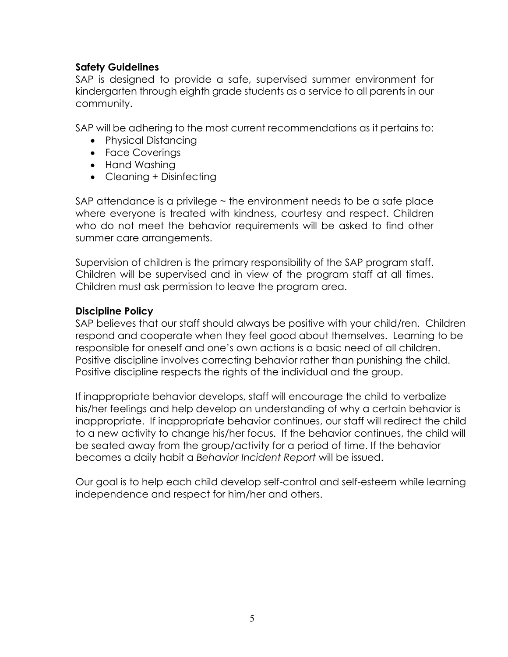# **Safety Guidelines**

SAP is designed to provide a safe, supervised summer environment for kindergarten through eighth grade students as a service to all parents in our community.

SAP will be adhering to the most current recommendations as it pertains to:

- Physical Distancing
- Face Coverings
- Hand Washing
- Cleaning + Disinfecting

SAP attendance is a privilege ~ the environment needs to be a safe place where everyone is treated with kindness, courtesy and respect. Children who do not meet the behavior requirements will be asked to find other summer care arrangements.

Supervision of children is the primary responsibility of the SAP program staff. Children will be supervised and in view of the program staff at all times. Children must ask permission to leave the program area.

# **Discipline Policy**

SAP believes that our staff should always be positive with your child/ren. Children respond and cooperate when they feel good about themselves. Learning to be responsible for oneself and one's own actions is a basic need of all children. Positive discipline involves correcting behavior rather than punishing the child. Positive discipline respects the rights of the individual and the group.

If inappropriate behavior develops, staff will encourage the child to verbalize his/her feelings and help develop an understanding of why a certain behavior is inappropriate. If inappropriate behavior continues, our staff will redirect the child to a new activity to change his/her focus. If the behavior continues, the child will be seated away from the group/activity for a period of time. If the behavior becomes a daily habit a *Behavior Incident Report* will be issued.

Our goal is to help each child develop self-control and self-esteem while learning independence and respect for him/her and others.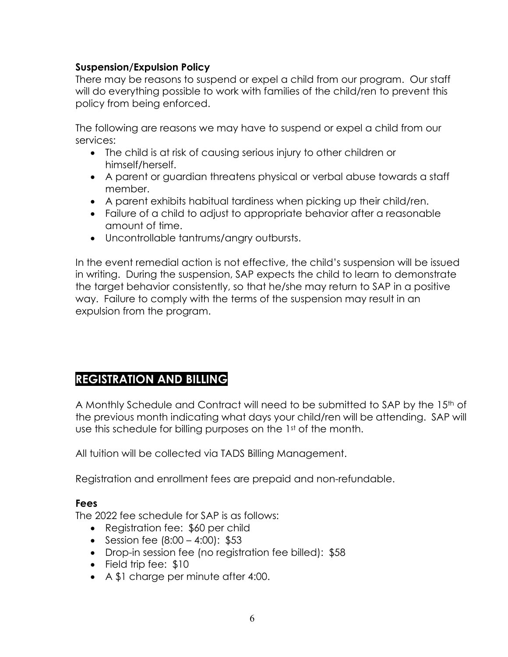# **Suspension/Expulsion Policy**

There may be reasons to suspend or expel a child from our program. Our staff will do everything possible to work with families of the child/ren to prevent this policy from being enforced.

The following are reasons we may have to suspend or expel a child from our services:

- The child is at risk of causing serious injury to other children or himself/herself.
- A parent or guardian threatens physical or verbal abuse towards a staff member.
- A parent exhibits habitual tardiness when picking up their child/ren.
- Failure of a child to adjust to appropriate behavior after a reasonable amount of time.
- Uncontrollable tantrums/angry outbursts.

In the event remedial action is not effective, the child's suspension will be issued in writing. During the suspension, SAP expects the child to learn to demonstrate the target behavior consistently, so that he/she may return to SAP in a positive way. Failure to comply with the terms of the suspension may result in an expulsion from the program.

# **REGISTRATION AND BILLING**

A Monthly Schedule and Contract will need to be submitted to SAP by the 15<sup>th</sup> of the previous month indicating what days your child/ren will be attending. SAP will use this schedule for billing purposes on the 1<sup>st</sup> of the month.

All tuition will be collected via TADS Billing Management.

Registration and enrollment fees are prepaid and non-refundable.

## **Fees**

The 2022 fee schedule for SAP is as follows:

- Registration fee: \$60 per child
- Session fee  $(8:00 4:00)$ : \$53
- Drop-in session fee (no registration fee billed): \$58
- Field trip fee: \$10
- A \$1 charge per minute after 4:00.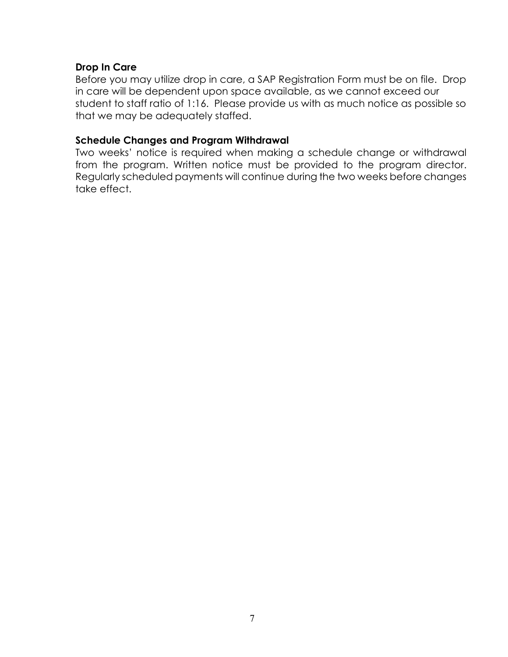## **Drop In Care**

Before you may utilize drop in care, a SAP Registration Form must be on file. Drop in care will be dependent upon space available, as we cannot exceed our student to staff ratio of 1:16. Please provide us with as much notice as possible so that we may be adequately staffed.

#### **Schedule Changes and Program Withdrawal**

Two weeks' notice is required when making a schedule change or withdrawal from the program. Written notice must be provided to the program director. Regularly scheduled payments will continue during the two weeks before changes take effect.